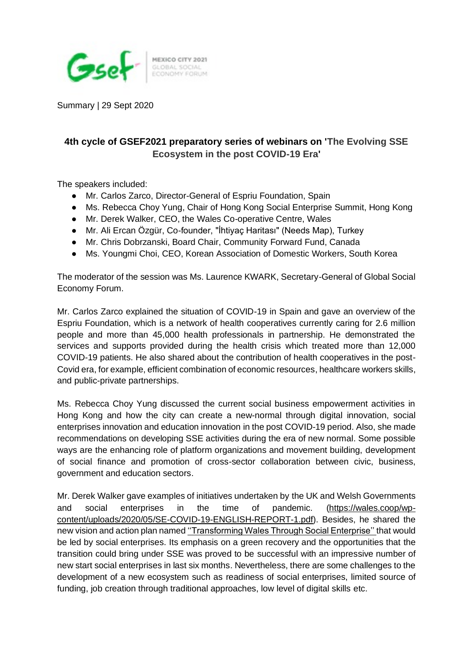

GLOBAL SOCIAL

Summary | 29 Sept 2020

## **4th cycle of GSEF2021 preparatory series of webinars on 'The Evolving SSE Ecosystem in the post COVID-19 Era'**

The speakers included:

- Mr. Carlos Zarco, Director-General of Espriu Foundation, Spain
- Ms. Rebecca Choy Yung, Chair of Hong Kong Social Enterprise Summit, Hong Kong
- Mr. Derek Walker, CEO, the Wales Co-operative Centre, Wales
- Mr. Ali Ercan Özgür, Co-founder, "İhtiyaç Haritası" (Needs Map), Turkey
- Mr. Chris Dobrzanski, Board Chair, Community Forward Fund, Canada
- Ms. Youngmi Choi, CEO, Korean Association of Domestic Workers, South Korea

The moderator of the session was Ms. Laurence KWARK, Secretary-General of Global Social Economy Forum.

Mr. Carlos Zarco explained the situation of COVID-19 in Spain and gave an overview of the Espriu Foundation, which is a network of health cooperatives currently caring for 2.6 million people and more than 45,000 health professionals in partnership. He demonstrated the services and supports provided during the health crisis which treated more than 12,000 COVID-19 patients. He also shared about the contribution of health cooperatives in the post-Covid era, for example, efficient combination of economic resources, healthcare workers skills, and public-private partnerships.

Ms. Rebecca Choy Yung discussed the current social business empowerment activities in Hong Kong and how the city can create a new-normal through digital innovation, social enterprises innovation and education innovation in the post COVID-19 period. Also, she made recommendations on developing SSE activities during the era of new normal. Some possible ways are the enhancing role of platform organizations and movement building, development of social finance and promotion of cross-sector collaboration between civic, business, government and education sectors.

Mr. Derek Walker gave examples of initiatives undertaken by the UK and Welsh Governments and social enterprises in the time of pandemic. [\(https://wales.coop/wp](https://wales.coop/wp-content/uploads/2020/05/SE-COVID-19-ENGLISH-REPORT-1.pdf)[content/uploads/2020/05/SE-COVID-19-ENGLISH-REPORT-1.pdf\)](https://wales.coop/wp-content/uploads/2020/05/SE-COVID-19-ENGLISH-REPORT-1.pdf). Besides, he shared the new vision and action plan named [''Transforming Wales Through Social Enterprise'' t](https://wales.coop/wp-content/uploads/2020/07/SOCIAL-ENTERPRISE-WALES-10-YEAR-VISION-AND-ACTION-PLAN_JULY-2020.pdf)hat would be led by social enterprises. Its emphasis on a green recovery and the opportunities that the transition could bring under SSE was proved to be successful with an impressive number of new start social enterprises in last six months. Nevertheless, there are some challenges to the development of a new ecosystem such as readiness of social enterprises, limited source of funding, job creation through traditional approaches, low level of digital skills etc.